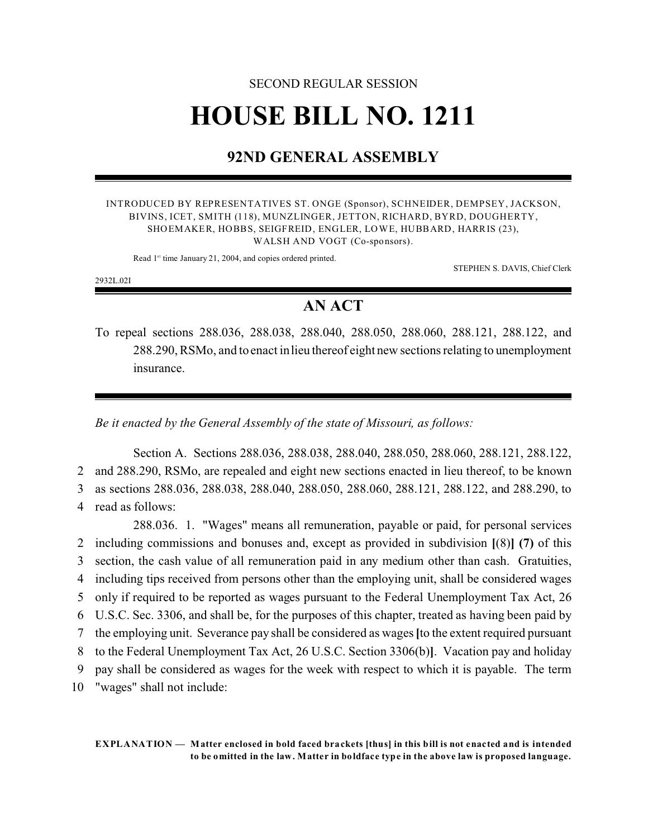# SECOND REGULAR SESSION **HOUSE BILL NO. 1211**

# **92ND GENERAL ASSEMBLY**

INTRODUCED BY REPRESENTATIVES ST. ONGE (Sponsor), SCHNEIDER, DEMPSEY, JACKSON, BIVINS, ICET, SMITH (118), MUNZLINGER, JETTON, RICHARD, BYRD, DOUGHERTY, SHOEMAKER, HOBBS, SEIGFREID, ENGLER, LOWE, HUBBARD, HARRIS (23), WALSH AND VOGT (Co-sponsors).

Read 1<sup>st</sup> time January 21, 2004, and copies ordered printed.

STEPHEN S. DAVIS, Chief Clerk

2932L.02I

## **AN ACT**

To repeal sections 288.036, 288.038, 288.040, 288.050, 288.060, 288.121, 288.122, and 288.290, RSMo, and to enact in lieu thereof eight new sections relating to unemployment insurance.

*Be it enacted by the General Assembly of the state of Missouri, as follows:*

Section A. Sections 288.036, 288.038, 288.040, 288.050, 288.060, 288.121, 288.122, and 288.290, RSMo, are repealed and eight new sections enacted in lieu thereof, to be known as sections 288.036, 288.038, 288.040, 288.050, 288.060, 288.121, 288.122, and 288.290, to read as follows:

288.036. 1. "Wages" means all remuneration, payable or paid, for personal services including commissions and bonuses and, except as provided in subdivision **[**(8)**] (7)** of this section, the cash value of all remuneration paid in any medium other than cash. Gratuities, including tips received from persons other than the employing unit, shall be considered wages only if required to be reported as wages pursuant to the Federal Unemployment Tax Act, 26 U.S.C. Sec. 3306, and shall be, for the purposes of this chapter, treated as having been paid by the employing unit. Severance pay shall be considered as wages**[**to the extent required pursuant to the Federal Unemployment Tax Act, 26 U.S.C. Section 3306(b)**]**. Vacation pay and holiday pay shall be considered as wages for the week with respect to which it is payable. The term "wages" shall not include: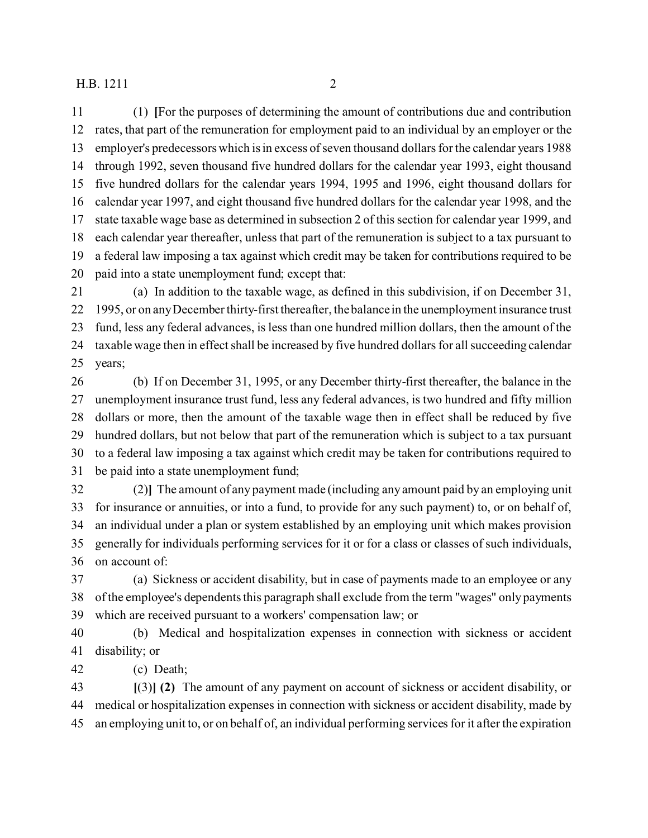(1) **[**For the purposes of determining the amount of contributions due and contribution rates, that part of the remuneration for employment paid to an individual by an employer or the employer's predecessors which is in excess of seven thousand dollars for the calendar years 1988 through 1992, seven thousand five hundred dollars for the calendar year 1993, eight thousand five hundred dollars for the calendar years 1994, 1995 and 1996, eight thousand dollars for calendar year 1997, and eight thousand five hundred dollars for the calendar year 1998, and the state taxable wage base as determined in subsection 2 of this section for calendar year 1999, and each calendar year thereafter, unless that part of the remuneration is subject to a tax pursuant to a federal law imposing a tax against which credit may be taken for contributions required to be paid into a state unemployment fund; except that:

 (a) In addition to the taxable wage, as defined in this subdivision, if on December 31, 1995, or on any December thirty-first thereafter, the balance in the unemployment insurance trust fund, less any federal advances, is less than one hundred million dollars, then the amount of the taxable wage then in effect shall be increased by five hundred dollars for all succeeding calendar years;

 (b) If on December 31, 1995, or any December thirty-first thereafter, the balance in the unemployment insurance trust fund, less any federal advances, is two hundred and fifty million dollars or more, then the amount of the taxable wage then in effect shall be reduced by five hundred dollars, but not below that part of the remuneration which is subject to a tax pursuant to a federal law imposing a tax against which credit may be taken for contributions required to be paid into a state unemployment fund;

 (2)**]** The amount of any payment made (including any amount paid by an employing unit for insurance or annuities, or into a fund, to provide for any such payment) to, or on behalf of, an individual under a plan or system established by an employing unit which makes provision generally for individuals performing services for it or for a class or classes of such individuals, on account of:

 (a) Sickness or accident disability, but in case of payments made to an employee or any of the employee's dependents this paragraph shall exclude from the term "wages" only payments which are received pursuant to a workers' compensation law; or

 (b) Medical and hospitalization expenses in connection with sickness or accident disability; or

(c) Death;

 **[**(3)**] (2)** The amount of any payment on account of sickness or accident disability, or medical or hospitalization expenses in connection with sickness or accident disability, made by an employing unit to, or on behalf of, an individual performing services for it after the expiration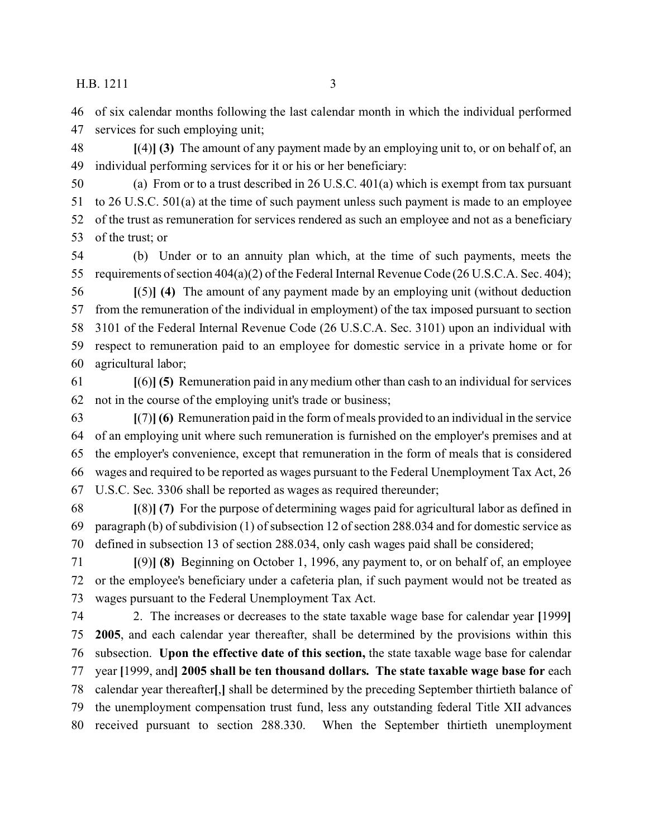of six calendar months following the last calendar month in which the individual performed services for such employing unit;

 **[**(4)**] (3)** The amount of any payment made by an employing unit to, or on behalf of, an individual performing services for it or his or her beneficiary:

 (a) From or to a trust described in 26 U.S.C. 401(a) which is exempt from tax pursuant to 26 U.S.C. 501(a) at the time of such payment unless such payment is made to an employee of the trust as remuneration for services rendered as such an employee and not as a beneficiary of the trust; or

 (b) Under or to an annuity plan which, at the time of such payments, meets the requirements of section 404(a)(2) of the Federal Internal Revenue Code (26 U.S.C.A. Sec. 404);

 **[**(5)**] (4)** The amount of any payment made by an employing unit (without deduction from the remuneration of the individual in employment) of the tax imposed pursuant to section 3101 of the Federal Internal Revenue Code (26 U.S.C.A. Sec. 3101) upon an individual with respect to remuneration paid to an employee for domestic service in a private home or for agricultural labor;

 **[**(6)**] (5)** Remuneration paid in any medium other than cash to an individual for services not in the course of the employing unit's trade or business;

 **[**(7)**] (6)** Remuneration paid in the form of meals provided to an individual in the service of an employing unit where such remuneration is furnished on the employer's premises and at the employer's convenience, except that remuneration in the form of meals that is considered wages and required to be reported as wages pursuant to the Federal Unemployment Tax Act, 26 U.S.C. Sec. 3306 shall be reported as wages as required thereunder;

 **[**(8)**] (7)** For the purpose of determining wages paid for agricultural labor as defined in paragraph (b) of subdivision (1) of subsection 12 of section 288.034 and for domestic service as defined in subsection 13 of section 288.034, only cash wages paid shall be considered;

 **[**(9)**] (8)** Beginning on October 1, 1996, any payment to, or on behalf of, an employee or the employee's beneficiary under a cafeteria plan, if such payment would not be treated as wages pursuant to the Federal Unemployment Tax Act.

 2. The increases or decreases to the state taxable wage base for calendar year **[**1999**] 2005**, and each calendar year thereafter, shall be determined by the provisions within this subsection. **Upon the effective date of this section,** the state taxable wage base for calendar year **[**1999, and**] 2005 shall be ten thousand dollars. The state taxable wage base for** each calendar year thereafter**[**,**]** shall be determined by the preceding September thirtieth balance of the unemployment compensation trust fund, less any outstanding federal Title XII advances received pursuant to section 288.330. When the September thirtieth unemployment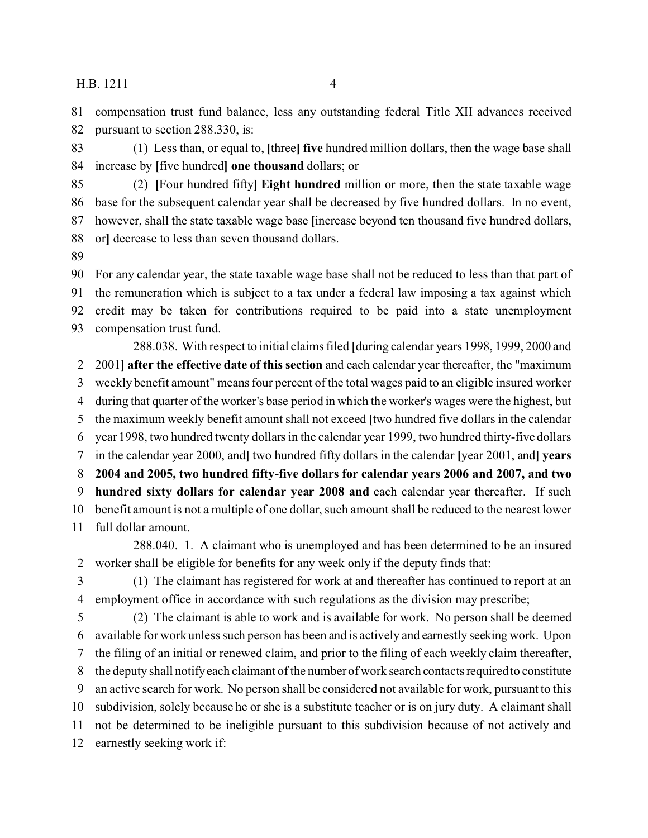compensation trust fund balance, less any outstanding federal Title XII advances received pursuant to section 288.330, is:

 (1) Less than, or equal to, **[**three**] five** hundred million dollars, then the wage base shall increase by **[**five hundred**] one thousand** dollars; or

 (2) **[**Four hundred fifty**] Eight hundred** million or more, then the state taxable wage base for the subsequent calendar year shall be decreased by five hundred dollars. In no event, however, shall the state taxable wage base **[**increase beyond ten thousand five hundred dollars, or**]** decrease to less than seven thousand dollars.

 For any calendar year, the state taxable wage base shall not be reduced to less than that part of the remuneration which is subject to a tax under a federal law imposing a tax against which credit may be taken for contributions required to be paid into a state unemployment compensation trust fund.

288.038. With respect to initial claims filed **[**during calendar years 1998, 1999, 2000 and 2001**] after the effective date of this section** and each calendar year thereafter, the "maximum weekly benefit amount" means four percent of the total wages paid to an eligible insured worker during that quarter of the worker's base period in which the worker's wages were the highest, but the maximum weekly benefit amount shall not exceed **[**two hundred five dollars in the calendar year 1998, two hundred twenty dollars in the calendar year 1999, two hundred thirty-five dollars in the calendar year 2000, and**]** two hundred fifty dollars in the calendar **[**year 2001, and**] years 2004 and 2005, two hundred fifty-five dollars for calendar years 2006 and 2007, and two hundred sixty dollars for calendar year 2008 and** each calendar year thereafter. If such benefit amount is not a multiple of one dollar, such amount shall be reduced to the nearest lower full dollar amount.

288.040. 1. A claimant who is unemployed and has been determined to be an insured worker shall be eligible for benefits for any week only if the deputy finds that:

 (1) The claimant has registered for work at and thereafter has continued to report at an employment office in accordance with such regulations as the division may prescribe;

 (2) The claimant is able to work and is available for work. No person shall be deemed available for work unless such person has been and is actively and earnestly seeking work. Upon the filing of an initial or renewed claim, and prior to the filing of each weekly claim thereafter, the deputy shall notify each claimant of the number of work search contacts required to constitute an active search for work. No person shall be considered not available for work, pursuant to this subdivision, solely because he or she is a substitute teacher or is on jury duty. A claimant shall not be determined to be ineligible pursuant to this subdivision because of not actively and earnestly seeking work if: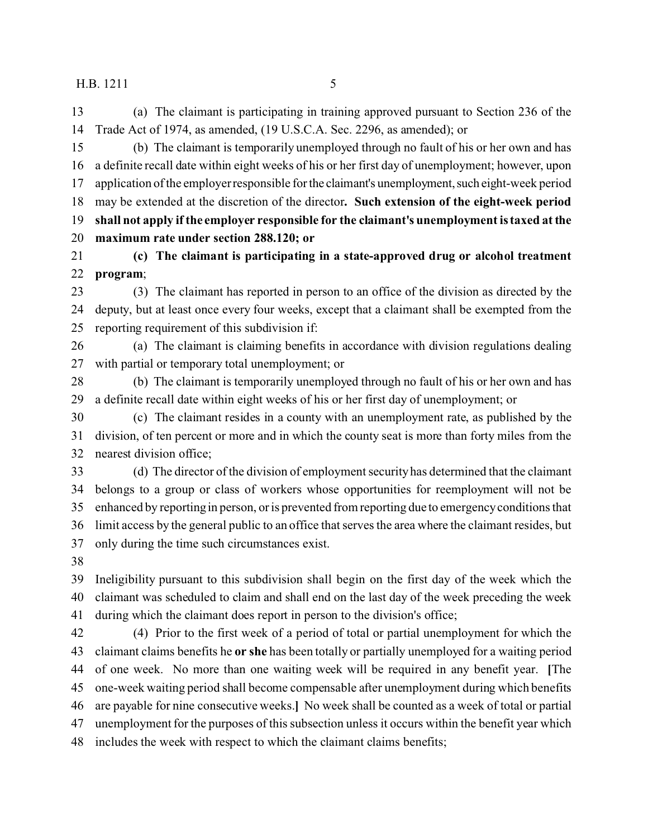(a) The claimant is participating in training approved pursuant to Section 236 of the Trade Act of 1974, as amended, (19 U.S.C.A. Sec. 2296, as amended); or

 (b) The claimant is temporarily unemployed through no fault of his or her own and has a definite recall date within eight weeks of his or her first day of unemployment; however, upon 17 application of the employer responsible for the claimant's unemployment, such eight-week period may be extended at the discretion of the director**. Such extension of the eight-week period shall not apply if the employer responsible for the claimant's unemployment is taxed at the maximum rate under section 288.120; or**

 **(c) The claimant is participating in a state-approved drug or alcohol treatment program**;

 (3) The claimant has reported in person to an office of the division as directed by the deputy, but at least once every four weeks, except that a claimant shall be exempted from the reporting requirement of this subdivision if:

 (a) The claimant is claiming benefits in accordance with division regulations dealing with partial or temporary total unemployment; or

 (b) The claimant is temporarily unemployed through no fault of his or her own and has a definite recall date within eight weeks of his or her first day of unemployment; or

 (c) The claimant resides in a county with an unemployment rate, as published by the division, of ten percent or more and in which the county seat is more than forty miles from the nearest division office;

 (d) The director of the division of employment security has determined that the claimant belongs to a group or class of workers whose opportunities for reemployment will not be enhanced by reporting in person, or is prevented from reporting due to emergency conditions that limit access by the general public to an office that serves the area where the claimant resides, but only during the time such circumstances exist.

 Ineligibility pursuant to this subdivision shall begin on the first day of the week which the claimant was scheduled to claim and shall end on the last day of the week preceding the week during which the claimant does report in person to the division's office;

 (4) Prior to the first week of a period of total or partial unemployment for which the claimant claims benefits he **or she** has been totally or partially unemployed for a waiting period of one week. No more than one waiting week will be required in any benefit year. **[**The one-week waiting period shall become compensable after unemployment during which benefits are payable for nine consecutive weeks.**]** No week shall be counted as a week of total or partial unemployment for the purposes of this subsection unless it occurs within the benefit year which includes the week with respect to which the claimant claims benefits;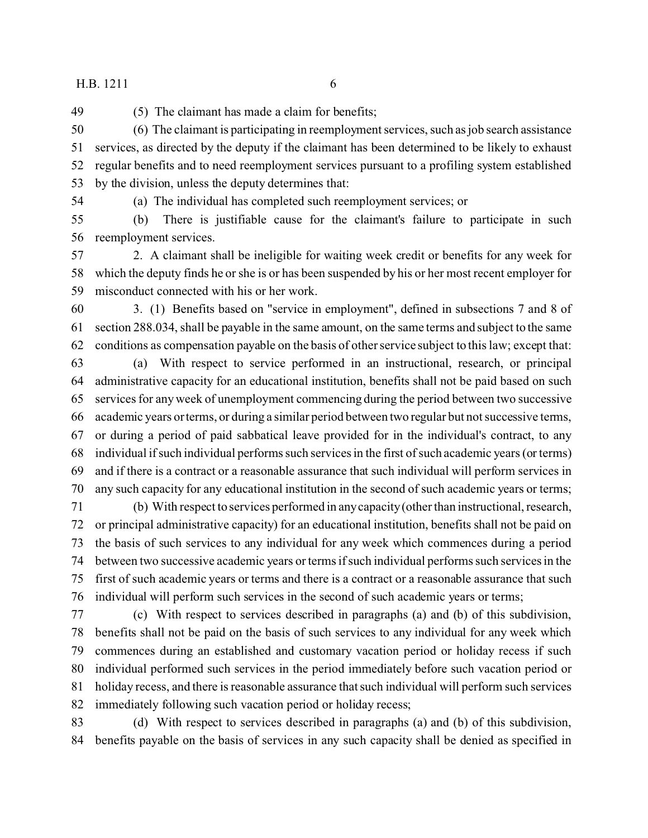(5) The claimant has made a claim for benefits;

 (6) The claimant is participating in reemployment services, such as job search assistance services, as directed by the deputy if the claimant has been determined to be likely to exhaust regular benefits and to need reemployment services pursuant to a profiling system established by the division, unless the deputy determines that:

(a) The individual has completed such reemployment services; or

 (b) There is justifiable cause for the claimant's failure to participate in such reemployment services.

 2. A claimant shall be ineligible for waiting week credit or benefits for any week for which the deputy finds he or she is or has been suspended by his or her most recent employer for misconduct connected with his or her work.

 3. (1) Benefits based on "service in employment", defined in subsections 7 and 8 of section 288.034, shall be payable in the same amount, on the same terms and subject to the same conditions as compensation payable on the basis of other service subject to this law; except that:

 (a) With respect to service performed in an instructional, research, or principal administrative capacity for an educational institution, benefits shall not be paid based on such services for any week of unemployment commencing during the period between two successive academic years or terms, or during a similar period between two regular but not successive terms, or during a period of paid sabbatical leave provided for in the individual's contract, to any individual if such individual performs such services in the first of such academic years (or terms) and if there is a contract or a reasonable assurance that such individual will perform services in any such capacity for any educational institution in the second of such academic years or terms;

 (b) With respect to services performed in any capacity (other than instructional, research, or principal administrative capacity) for an educational institution, benefits shall not be paid on the basis of such services to any individual for any week which commences during a period between two successive academic years or terms if such individual performs such services in the first of such academic years or terms and there is a contract or a reasonable assurance that such individual will perform such services in the second of such academic years or terms;

 (c) With respect to services described in paragraphs (a) and (b) of this subdivision, benefits shall not be paid on the basis of such services to any individual for any week which commences during an established and customary vacation period or holiday recess if such individual performed such services in the period immediately before such vacation period or holiday recess, and there is reasonable assurance that such individual will perform such services immediately following such vacation period or holiday recess;

 (d) With respect to services described in paragraphs (a) and (b) of this subdivision, benefits payable on the basis of services in any such capacity shall be denied as specified in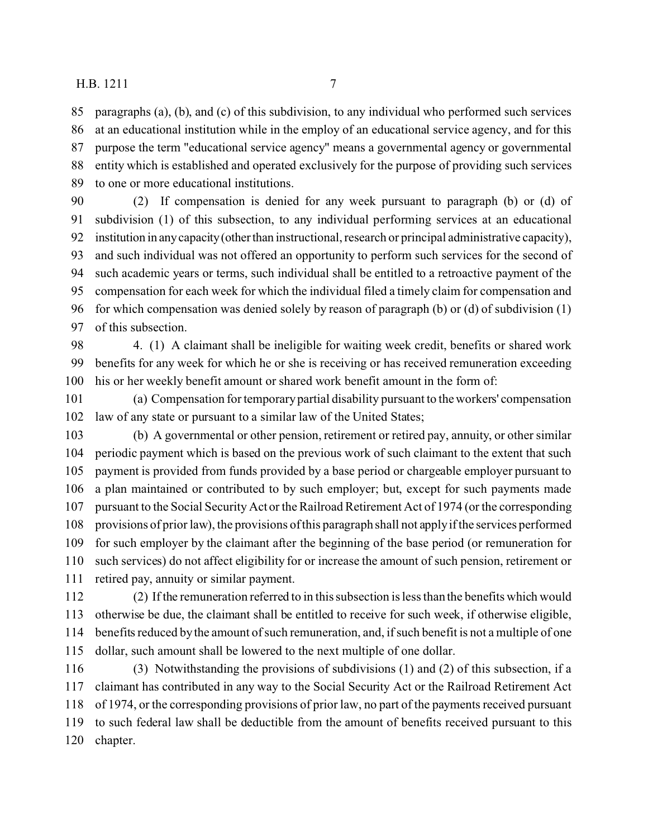paragraphs (a), (b), and (c) of this subdivision, to any individual who performed such services at an educational institution while in the employ of an educational service agency, and for this purpose the term "educational service agency" means a governmental agency or governmental entity which is established and operated exclusively for the purpose of providing such services to one or more educational institutions.

- (2) If compensation is denied for any week pursuant to paragraph (b) or (d) of subdivision (1) of this subsection, to any individual performing services at an educational institution in anycapacity(otherthan instructional, research or principal administrative capacity), and such individual was not offered an opportunity to perform such services for the second of such academic years or terms, such individual shall be entitled to a retroactive payment of the compensation for each week for which the individual filed a timely claim for compensation and for which compensation was denied solely by reason of paragraph (b) or (d) of subdivision (1) of this subsection.
- 4. (1) A claimant shall be ineligible for waiting week credit, benefits or shared work benefits for any week for which he or she is receiving or has received remuneration exceeding his or her weekly benefit amount or shared work benefit amount in the form of:
- (a) Compensation for temporary partial disability pursuant to the workers' compensation law of any state or pursuant to a similar law of the United States;
- (b) A governmental or other pension, retirement or retired pay, annuity, or other similar periodic payment which is based on the previous work of such claimant to the extent that such payment is provided from funds provided by a base period or chargeable employer pursuant to a plan maintained or contributed to by such employer; but, except for such payments made pursuant to the Social Security Act or the Railroad Retirement Act of 1974 (or the corresponding provisions of prior law), the provisions of this paragraph shall not apply if the services performed for such employer by the claimant after the beginning of the base period (or remuneration for such services) do not affect eligibility for or increase the amount of such pension, retirement or retired pay, annuity or similar payment.
- (2) If the remuneration referred to in this subsection is less than the benefits which would otherwise be due, the claimant shall be entitled to receive for such week, if otherwise eligible, benefits reduced by the amount of such remuneration, and, if such benefit is not a multiple of one dollar, such amount shall be lowered to the next multiple of one dollar.
- (3) Notwithstanding the provisions of subdivisions (1) and (2) of this subsection, if a claimant has contributed in any way to the Social Security Act or the Railroad Retirement Act of 1974, or the corresponding provisions of prior law, no part of the payments received pursuant to such federal law shall be deductible from the amount of benefits received pursuant to this chapter.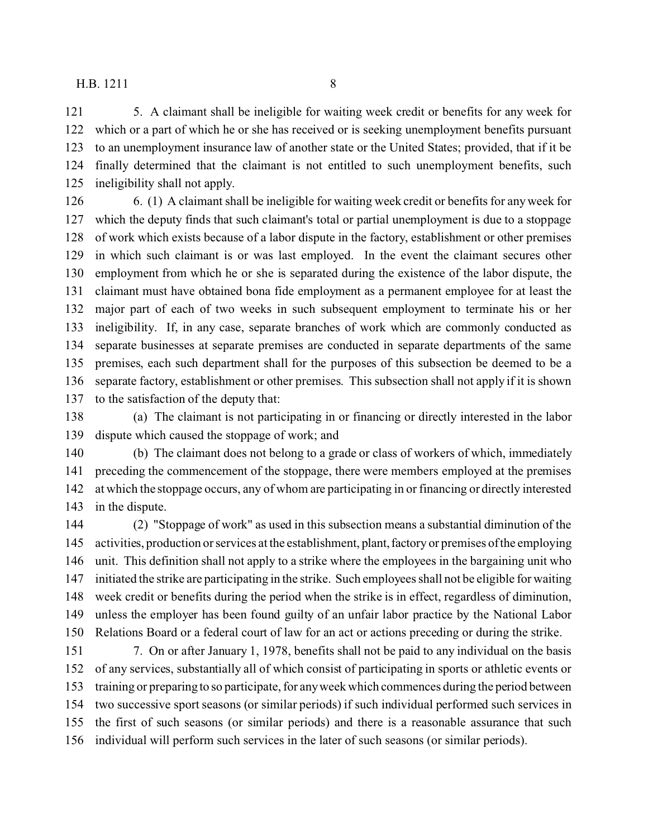5. A claimant shall be ineligible for waiting week credit or benefits for any week for which or a part of which he or she has received or is seeking unemployment benefits pursuant to an unemployment insurance law of another state or the United States; provided, that if it be finally determined that the claimant is not entitled to such unemployment benefits, such ineligibility shall not apply.

 6. (1) A claimant shall be ineligible for waiting week credit or benefits for any week for which the deputy finds that such claimant's total or partial unemployment is due to a stoppage of work which exists because of a labor dispute in the factory, establishment or other premises in which such claimant is or was last employed. In the event the claimant secures other employment from which he or she is separated during the existence of the labor dispute, the claimant must have obtained bona fide employment as a permanent employee for at least the major part of each of two weeks in such subsequent employment to terminate his or her ineligibility. If, in any case, separate branches of work which are commonly conducted as separate businesses at separate premises are conducted in separate departments of the same premises, each such department shall for the purposes of this subsection be deemed to be a separate factory, establishment or other premises. This subsection shall not apply if it is shown to the satisfaction of the deputy that:

 (a) The claimant is not participating in or financing or directly interested in the labor dispute which caused the stoppage of work; and

 (b) The claimant does not belong to a grade or class of workers of which, immediately preceding the commencement of the stoppage, there were members employed at the premises at which the stoppage occurs, any of whom are participating in or financing or directly interested in the dispute.

 (2) "Stoppage of work" as used in this subsection means a substantial diminution of the activities, production or services at the establishment, plant,factory or premises of the employing unit. This definition shall not apply to a strike where the employees in the bargaining unit who initiated the strike are participating in the strike. Such employees shall not be eligible for waiting week credit or benefits during the period when the strike is in effect, regardless of diminution, unless the employer has been found guilty of an unfair labor practice by the National Labor Relations Board or a federal court of law for an act or actions preceding or during the strike.

 7. On or after January 1, 1978, benefits shall not be paid to any individual on the basis of any services, substantially all of which consist of participating in sports or athletic events or training or preparing to so participate, for any week which commences during the period between two successive sport seasons (or similar periods) if such individual performed such services in the first of such seasons (or similar periods) and there is a reasonable assurance that such individual will perform such services in the later of such seasons (or similar periods).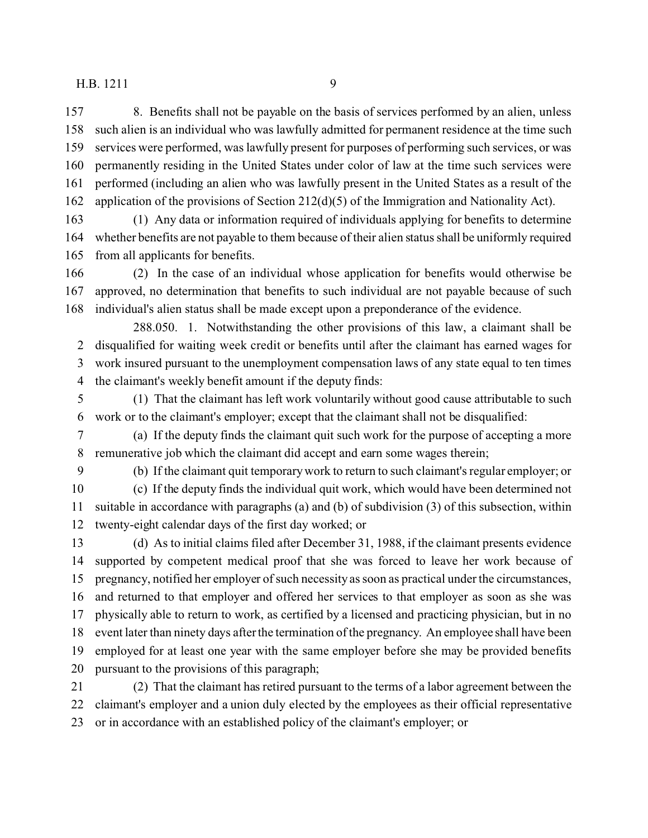8. Benefits shall not be payable on the basis of services performed by an alien, unless such alien is an individual who was lawfully admitted for permanent residence at the time such services were performed, was lawfully present for purposes of performing such services, or was permanently residing in the United States under color of law at the time such services were performed (including an alien who was lawfully present in the United States as a result of the application of the provisions of Section 212(d)(5) of the Immigration and Nationality Act).

 (1) Any data or information required of individuals applying for benefits to determine whether benefits are not payable to them because of their alien status shall be uniformly required from all applicants for benefits.

 (2) In the case of an individual whose application for benefits would otherwise be approved, no determination that benefits to such individual are not payable because of such individual's alien status shall be made except upon a preponderance of the evidence.

288.050. 1. Notwithstanding the other provisions of this law, a claimant shall be disqualified for waiting week credit or benefits until after the claimant has earned wages for work insured pursuant to the unemployment compensation laws of any state equal to ten times the claimant's weekly benefit amount if the deputy finds:

 (1) That the claimant has left work voluntarily without good cause attributable to such work or to the claimant's employer; except that the claimant shall not be disqualified:

 (a) If the deputy finds the claimant quit such work for the purpose of accepting a more remunerative job which the claimant did accept and earn some wages therein;

(b) If the claimant quit temporary work to return to such claimant's regular employer; or

 (c) If the deputy finds the individual quit work, which would have been determined not suitable in accordance with paragraphs (a) and (b) of subdivision (3) of this subsection, within twenty-eight calendar days of the first day worked; or

 (d) As to initial claims filed after December 31, 1988, if the claimant presents evidence supported by competent medical proof that she was forced to leave her work because of pregnancy, notified her employer of such necessity as soon as practical under the circumstances, and returned to that employer and offered her services to that employer as soon as she was physically able to return to work, as certified by a licensed and practicing physician, but in no event later than ninety days after the termination of the pregnancy. An employee shall have been employed for at least one year with the same employer before she may be provided benefits pursuant to the provisions of this paragraph;

 (2) That the claimant has retired pursuant to the terms of a labor agreement between the claimant's employer and a union duly elected by the employees as their official representative or in accordance with an established policy of the claimant's employer; or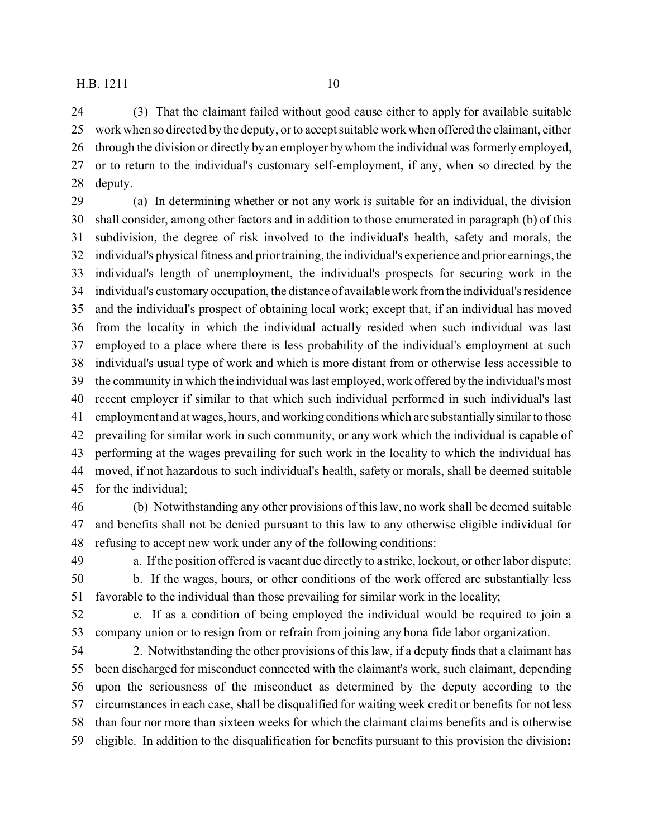(3) That the claimant failed without good cause either to apply for available suitable work when so directed by the deputy, or to accept suitable work when offered the claimant, either through the division or directly by an employer by whom the individual was formerly employed, or to return to the individual's customary self-employment, if any, when so directed by the deputy.

 (a) In determining whether or not any work is suitable for an individual, the division shall consider, among other factors and in addition to those enumerated in paragraph (b) of this subdivision, the degree of risk involved to the individual's health, safety and morals, the individual's physical fitness and prior training, the individual's experience and prior earnings, the individual's length of unemployment, the individual's prospects for securing work in the individual's customary occupation, the distance of available work from the individual's residence and the individual's prospect of obtaining local work; except that, if an individual has moved from the locality in which the individual actually resided when such individual was last employed to a place where there is less probability of the individual's employment at such individual's usual type of work and which is more distant from or otherwise less accessible to the community in which the individual was last employed, work offered by the individual's most recent employer if similar to that which such individual performed in such individual's last employment and at wages, hours, and working conditions which are substantiallysimilar to those prevailing for similar work in such community, or any work which the individual is capable of performing at the wages prevailing for such work in the locality to which the individual has moved, if not hazardous to such individual's health, safety or morals, shall be deemed suitable for the individual;

 (b) Notwithstanding any other provisions of this law, no work shall be deemed suitable and benefits shall not be denied pursuant to this law to any otherwise eligible individual for refusing to accept new work under any of the following conditions:

 a. If the position offered is vacant due directly to a strike, lockout, or other labor dispute; b. If the wages, hours, or other conditions of the work offered are substantially less

favorable to the individual than those prevailing for similar work in the locality;

 c. If as a condition of being employed the individual would be required to join a company union or to resign from or refrain from joining any bona fide labor organization.

 2. Notwithstanding the other provisions of this law, if a deputy finds that a claimant has been discharged for misconduct connected with the claimant's work, such claimant, depending upon the seriousness of the misconduct as determined by the deputy according to the circumstances in each case, shall be disqualified for waiting week credit or benefits for not less than four nor more than sixteen weeks for which the claimant claims benefits and is otherwise eligible. In addition to the disqualification for benefits pursuant to this provision the division**:**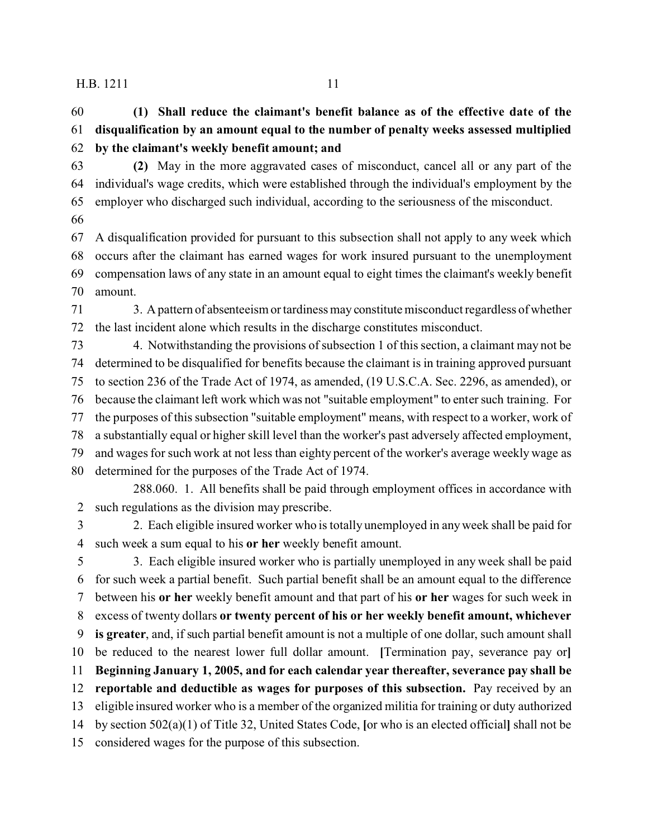**(1) Shall reduce the claimant's benefit balance as of the effective date of the disqualification by an amount equal to the number of penalty weeks assessed multiplied by the claimant's weekly benefit amount; and**

 **(2)** May in the more aggravated cases of misconduct, cancel all or any part of the individual's wage credits, which were established through the individual's employment by the employer who discharged such individual, according to the seriousness of the misconduct.

 A disqualification provided for pursuant to this subsection shall not apply to any week which occurs after the claimant has earned wages for work insured pursuant to the unemployment compensation laws of any state in an amount equal to eight times the claimant's weekly benefit amount.

 3. A pattern of absenteeism or tardiness may constitute misconduct regardless of whether the last incident alone which results in the discharge constitutes misconduct.

 4. Notwithstanding the provisions of subsection 1 of this section, a claimant may not be determined to be disqualified for benefits because the claimant is in training approved pursuant to section 236 of the Trade Act of 1974, as amended, (19 U.S.C.A. Sec. 2296, as amended), or because the claimant left work which was not "suitable employment" to enter such training. For the purposes of this subsection "suitable employment" means, with respect to a worker, work of a substantially equal or higher skill level than the worker's past adversely affected employment, and wages for such work at not less than eighty percent of the worker's average weekly wage as determined for the purposes of the Trade Act of 1974.

288.060. 1. All benefits shall be paid through employment offices in accordance with such regulations as the division may prescribe.

 2. Each eligible insured worker who is totally unemployed in any week shall be paid for such week a sum equal to his **or her** weekly benefit amount.

 3. Each eligible insured worker who is partially unemployed in any week shall be paid for such week a partial benefit. Such partial benefit shall be an amount equal to the difference between his **or her** weekly benefit amount and that part of his **or her** wages for such week in excess of twenty dollars **or twenty percent of his or her weekly benefit amount, whichever is greater**, and, if such partial benefit amount is not a multiple of one dollar, such amount shall be reduced to the nearest lower full dollar amount. **[**Termination pay, severance pay or**] Beginning January 1, 2005, and for each calendar year thereafter, severance pay shall be reportable and deductible as wages for purposes of this subsection.** Pay received by an eligible insured worker who is a member of the organized militia for training or duty authorized by section 502(a)(1) of Title 32, United States Code, **[**or who is an elected official**]** shall not be considered wages for the purpose of this subsection.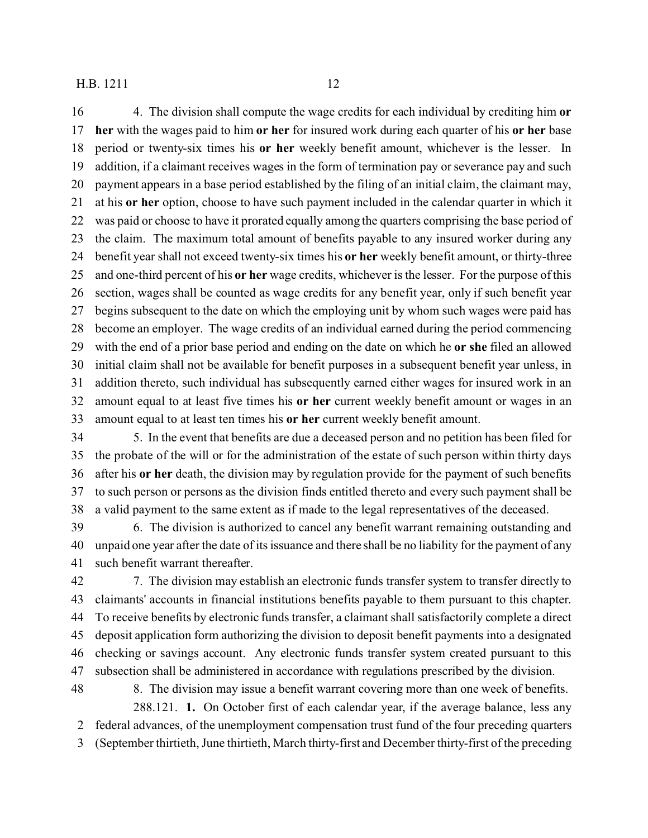4. The division shall compute the wage credits for each individual by crediting him **or her** with the wages paid to him **or her** for insured work during each quarter of his **or her** base period or twenty-six times his **or her** weekly benefit amount, whichever is the lesser. In addition, if a claimant receives wages in the form of termination pay or severance pay and such payment appears in a base period established by the filing of an initial claim, the claimant may, at his **or her** option, choose to have such payment included in the calendar quarter in which it was paid or choose to have it prorated equally among the quarters comprising the base period of the claim. The maximum total amount of benefits payable to any insured worker during any benefit year shall not exceed twenty-six times his **or her** weekly benefit amount, or thirty-three and one-third percent of his **or her** wage credits, whichever is the lesser. For the purpose of this section, wages shall be counted as wage credits for any benefit year, only if such benefit year begins subsequent to the date on which the employing unit by whom such wages were paid has become an employer. The wage credits of an individual earned during the period commencing with the end of a prior base period and ending on the date on which he **or she** filed an allowed initial claim shall not be available for benefit purposes in a subsequent benefit year unless, in addition thereto, such individual has subsequently earned either wages for insured work in an

 amount equal to at least five times his **or her** current weekly benefit amount or wages in an amount equal to at least ten times his **or her** current weekly benefit amount.

 5. In the event that benefits are due a deceased person and no petition has been filed for the probate of the will or for the administration of the estate of such person within thirty days after his **or her** death, the division may by regulation provide for the payment of such benefits to such person or persons as the division finds entitled thereto and every such payment shall be a valid payment to the same extent as if made to the legal representatives of the deceased.

 6. The division is authorized to cancel any benefit warrant remaining outstanding and unpaid one year after the date of its issuance and there shall be no liability for the payment of any such benefit warrant thereafter.

 7. The division may establish an electronic funds transfer system to transfer directly to claimants' accounts in financial institutions benefits payable to them pursuant to this chapter. To receive benefits by electronic funds transfer, a claimant shall satisfactorily complete a direct deposit application form authorizing the division to deposit benefit payments into a designated checking or savings account. Any electronic funds transfer system created pursuant to this subsection shall be administered in accordance with regulations prescribed by the division.

 8. The division may issue a benefit warrant covering more than one week of benefits. 288.121. **1.** On October first of each calendar year, if the average balance, less any

 federal advances, of the unemployment compensation trust fund of the four preceding quarters (September thirtieth, June thirtieth, March thirty-first and December thirty-first of the preceding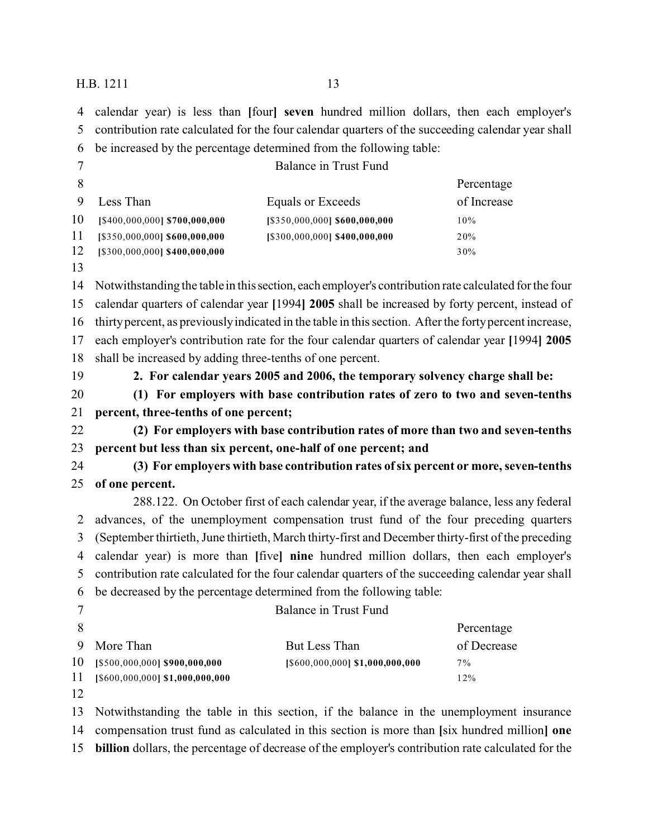calendar year) is less than **[**four**] seven** hundred million dollars, then each employer's contribution rate calculated for the four calendar quarters of the succeeding calendar year shall be increased by the percentage determined from the following table: Balance in Trust Fund Percentage

|    | 9 Less Than                        | Equals or Exceeds             | of Increase |
|----|------------------------------------|-------------------------------|-------------|
| 10 | $[$400,000,000]$ \$700,000,000     | [\$350,000,000] \$600,000,000 | $10\%$      |
|    | $11$ [\$350,000,000] \$600,000,000 | [\$300,000,000] \$400,000,000 | 20%         |
| 12 | $[$300,000,000]$ \$400,000,000     |                               | 30%         |

 Notwithstanding the table in this section, each employer's contribution rate calculated for the four calendar quarters of calendar year **[**1994**] 2005** shall be increased by forty percent, instead of thirty percent, as previously indicated in the table in this section. After the forty percent increase, each employer's contribution rate for the four calendar quarters of calendar year **[**1994**] 2005** shall be increased by adding three-tenths of one percent.

## **2. For calendar years 2005 and 2006, the temporary solvency charge shall be:**

 **(1) For employers with base contribution rates of zero to two and seven-tenths percent, three-tenths of one percent;**

 **(2) For employers with base contribution rates of more than two and seven-tenths percent but less than six percent, one-half of one percent; and**

 **(3) For employers with base contribution rates of six percent or more, seven-tenths of one percent.**

288.122. On October first of each calendar year, if the average balance, less any federal advances, of the unemployment compensation trust fund of the four preceding quarters (September thirtieth, June thirtieth, March thirty-first and December thirty-first of the preceding calendar year) is more than **[**five**] nine** hundred million dollars, then each employer's contribution rate calculated for the four calendar quarters of the succeeding calendar year shall be decreased by the percentage determined from the following table:

| $\overline{ }$ |    |  |     | Balance in Trust Fund |            |
|----------------|----|--|-----|-----------------------|------------|
| 8              |    |  |     |                       | Percentage |
|                | __ |  | $-$ | __                    | $\sim$ $-$ |

|                                    |                                 | The strategies of the state of the state of the state of the state of the state of the state of the state of the state of the state of the state of the state of the state of the state of the state of the state of the state |
|------------------------------------|---------------------------------|--------------------------------------------------------------------------------------------------------------------------------------------------------------------------------------------------------------------------------|
| 9 More Than                        | But Less Than                   | of Decrease                                                                                                                                                                                                                    |
| $10$ [\$500,000,000] \$900,000,000 | [\$600,000,000] \$1,000,000,000 | $7\%$                                                                                                                                                                                                                          |
| 11 [\$600,000,000] \$1,000,000,000 |                                 | 12%                                                                                                                                                                                                                            |
|                                    |                                 |                                                                                                                                                                                                                                |

Notwithstanding the table in this section, if the balance in the unemployment insurance

compensation trust fund as calculated in this section is more than **[**six hundred million**] one**

**billion** dollars, the percentage of decrease of the employer's contribution rate calculated for the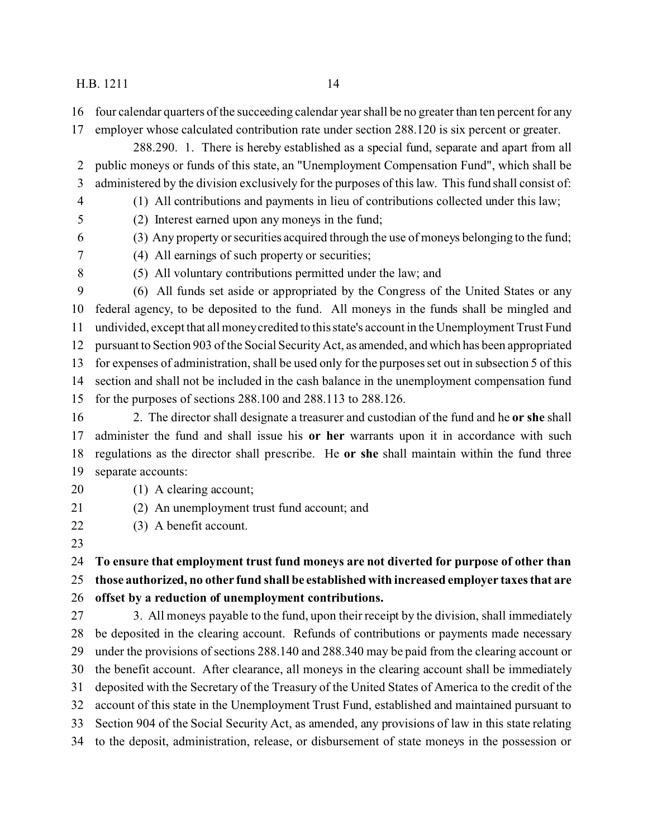- four calendar quarters of the succeeding calendar year shall be no greater than ten percent for any
- employer whose calculated contribution rate under section 288.120 is six percent or greater.
- 288.290. 1. There is hereby established as a special fund, separate and apart from all public moneys or funds of this state, an "Unemployment Compensation Fund", which shall be administered by the division exclusively for the purposes of this law. This fund shall consist of:
- (1) All contributions and payments in lieu of contributions collected under this law;
- (2) Interest earned upon any moneys in the fund;
- (3) Any property or securities acquired through the use of moneys belonging to the fund;
- (4) All earnings of such property or securities;
- 
- (5) All voluntary contributions permitted under the law; and
- (6) All funds set aside or appropriated by the Congress of the United States or any federal agency, to be deposited to the fund. All moneys in the funds shall be mingled and undivided, except that all money credited to this state's account in the Unemployment Trust Fund pursuant to Section 903 of the Social Security Act, as amended, and which has been appropriated for expenses of administration, shall be used only for the purposes set out in subsection 5 of this section and shall not be included in the cash balance in the unemployment compensation fund for the purposes of sections 288.100 and 288.113 to 288.126.
- 2. The director shall designate a treasurer and custodian of the fund and he **or she** shall administer the fund and shall issue his **or her** warrants upon it in accordance with such regulations as the director shall prescribe. He **or she** shall maintain within the fund three separate accounts:
- 
- 20 (1) A clearing account;
- (2) An unemployment trust fund account; and
- (3) A benefit account.
- 

## **To ensure that employment trust fund moneys are not diverted for purpose of other than those authorized, no other fund shall be established with increased employer taxes that are offset by a reduction of unemployment contributions.**

 3. All moneys payable to the fund, upon their receipt by the division, shall immediately be deposited in the clearing account. Refunds of contributions or payments made necessary under the provisions of sections 288.140 and 288.340 may be paid from the clearing account or the benefit account. After clearance, all moneys in the clearing account shall be immediately deposited with the Secretary of the Treasury of the United States of America to the credit of the account of this state in the Unemployment Trust Fund, established and maintained pursuant to Section 904 of the Social Security Act, as amended, any provisions of law in this state relating to the deposit, administration, release, or disbursement of state moneys in the possession or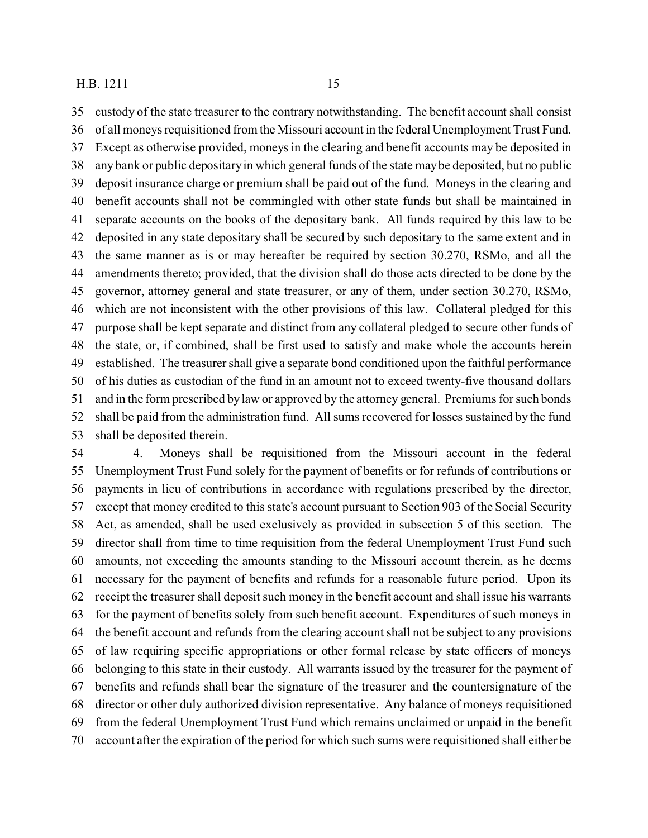custody of the state treasurer to the contrary notwithstanding. The benefit account shall consist of all moneys requisitioned from the Missouri account in the federal Unemployment Trust Fund. Except as otherwise provided, moneys in the clearing and benefit accounts may be deposited in any bank or public depositary in which general funds of the state may be deposited, but no public deposit insurance charge or premium shall be paid out of the fund. Moneys in the clearing and benefit accounts shall not be commingled with other state funds but shall be maintained in separate accounts on the books of the depositary bank. All funds required by this law to be deposited in any state depositary shall be secured by such depositary to the same extent and in the same manner as is or may hereafter be required by section 30.270, RSMo, and all the amendments thereto; provided, that the division shall do those acts directed to be done by the governor, attorney general and state treasurer, or any of them, under section 30.270, RSMo, which are not inconsistent with the other provisions of this law. Collateral pledged for this purpose shall be kept separate and distinct from any collateral pledged to secure other funds of the state, or, if combined, shall be first used to satisfy and make whole the accounts herein established. The treasurer shall give a separate bond conditioned upon the faithful performance of his duties as custodian of the fund in an amount not to exceed twenty-five thousand dollars and in the form prescribed by law or approved by the attorney general. Premiums for such bonds shall be paid from the administration fund. All sums recovered for losses sustained by the fund shall be deposited therein.

 4. Moneys shall be requisitioned from the Missouri account in the federal Unemployment Trust Fund solely for the payment of benefits or for refunds of contributions or payments in lieu of contributions in accordance with regulations prescribed by the director, except that money credited to this state's account pursuant to Section 903 of the Social Security Act, as amended, shall be used exclusively as provided in subsection 5 of this section. The director shall from time to time requisition from the federal Unemployment Trust Fund such amounts, not exceeding the amounts standing to the Missouri account therein, as he deems necessary for the payment of benefits and refunds for a reasonable future period. Upon its receipt the treasurer shall deposit such money in the benefit account and shall issue his warrants for the payment of benefits solely from such benefit account. Expenditures of such moneys in the benefit account and refunds from the clearing account shall not be subject to any provisions of law requiring specific appropriations or other formal release by state officers of moneys belonging to this state in their custody. All warrants issued by the treasurer for the payment of benefits and refunds shall bear the signature of the treasurer and the countersignature of the director or other duly authorized division representative. Any balance of moneys requisitioned from the federal Unemployment Trust Fund which remains unclaimed or unpaid in the benefit account after the expiration of the period for which such sums were requisitioned shall either be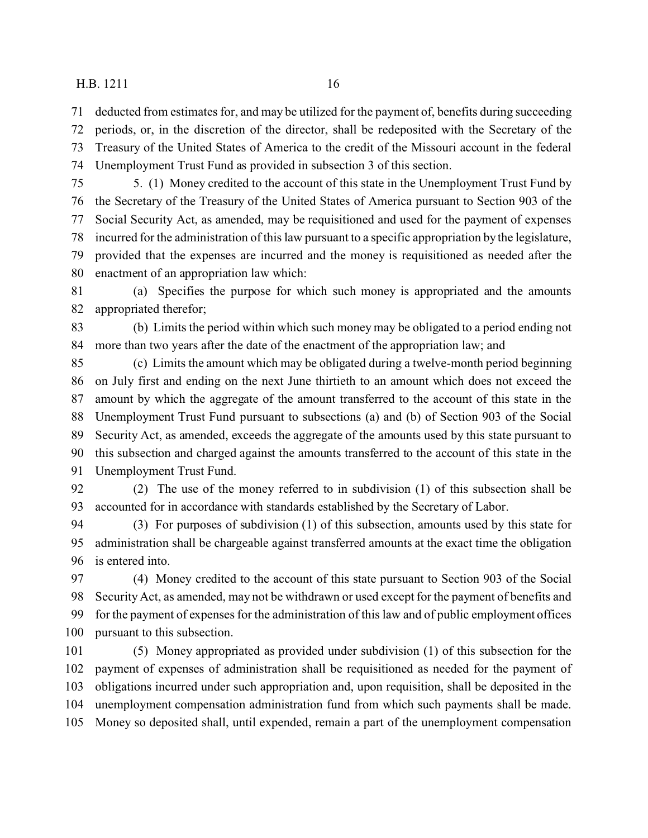deducted from estimates for, and may be utilized for the payment of, benefits during succeeding periods, or, in the discretion of the director, shall be redeposited with the Secretary of the Treasury of the United States of America to the credit of the Missouri account in the federal Unemployment Trust Fund as provided in subsection 3 of this section.

 5. (1) Money credited to the account of this state in the Unemployment Trust Fund by the Secretary of the Treasury of the United States of America pursuant to Section 903 of the Social Security Act, as amended, may be requisitioned and used for the payment of expenses incurred for the administration of this law pursuant to a specific appropriation by the legislature, provided that the expenses are incurred and the money is requisitioned as needed after the enactment of an appropriation law which:

 (a) Specifies the purpose for which such money is appropriated and the amounts appropriated therefor;

 (b) Limits the period within which such money may be obligated to a period ending not more than two years after the date of the enactment of the appropriation law; and

 (c) Limits the amount which may be obligated during a twelve-month period beginning on July first and ending on the next June thirtieth to an amount which does not exceed the amount by which the aggregate of the amount transferred to the account of this state in the Unemployment Trust Fund pursuant to subsections (a) and (b) of Section 903 of the Social Security Act, as amended, exceeds the aggregate of the amounts used by this state pursuant to this subsection and charged against the amounts transferred to the account of this state in the Unemployment Trust Fund.

 (2) The use of the money referred to in subdivision (1) of this subsection shall be accounted for in accordance with standards established by the Secretary of Labor.

 (3) For purposes of subdivision (1) of this subsection, amounts used by this state for administration shall be chargeable against transferred amounts at the exact time the obligation is entered into.

 (4) Money credited to the account of this state pursuant to Section 903 of the Social Security Act, as amended, may not be withdrawn or used except for the payment of benefits and for the payment of expenses for the administration of this law and of public employment offices pursuant to this subsection.

 (5) Money appropriated as provided under subdivision (1) of this subsection for the payment of expenses of administration shall be requisitioned as needed for the payment of obligations incurred under such appropriation and, upon requisition, shall be deposited in the unemployment compensation administration fund from which such payments shall be made. Money so deposited shall, until expended, remain a part of the unemployment compensation